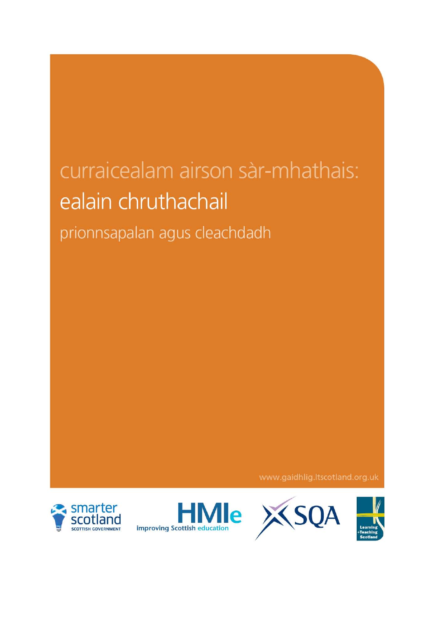# curraicealam airson sàr-mhathais: ealain chruthachail prionnsapalan agus cleachdadh

www.gaidhlig.ltscotland.org.uk







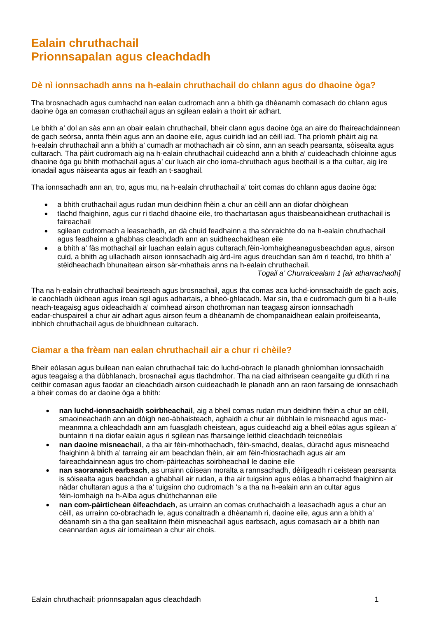# **Ealain chruthachail Prionnsapalan agus cleachdadh**

# **Dè nì ionnsachadh anns na h-ealain chruthachail do chlann agus do dhaoine òga?**

Tha brosnachadh agus cumhachd nan ealan cudromach ann a bhith ga dhèanamh comasach do chlann agus daoine òga an comasan cruthachail agus an sgilean ealain a thoirt air adhart.

Le bhith a' dol an sàs ann an obair ealain chruthachail, bheir clann agus daoine òga an aire do fhaireachdainnean de gach seòrsa, annta fhèin agus ann an daoine eile, agus cuiridh iad an cèill iad. Tha prìomh phàirt aig na h-ealain chruthachail ann a bhith a' cumadh ar mothachadh air cò sinn, ann an seadh pearsanta, sòisealta agus cultarach. Tha pàirt cudromach aig na h-ealain chruthachail cuideachd ann a bhith a' cuideachadh chloinne agus dhaoine òga gu bhith mothachail agus a' cur luach air cho ioma-chruthach agus beothail is a tha cultar, aig ìre ionadail agus nàiseanta agus air feadh an t-saoghail.

Tha ionnsachadh ann an, tro, agus mu, na h-ealain chruthachail a' toirt comas do chlann agus daoine òga:

- a bhith cruthachail agus rudan mun deidhinn fhèin a chur an cèill ann an diofar dhòighean
- tlachd fhaighinn, agus cur ri tlachd dhaoine eile, tro thachartasan agus thaisbeanaidhean cruthachail is faireachail
- sgilean cudromach a leasachadh, an dà chuid feadhainn a tha sònraichte do na h-ealain chruthachail agus feadhainn a ghabhas cleachdadh ann an suidheachaidhean eile
- a bhith a' fàs mothachail air luachan ealain agus cultarach,fèin-ìomhaigheanagusbeachdan agus, airson cuid, a bhith ag ullachadh airson ionnsachadh aig àrd-ìre agus dreuchdan san àm ri teachd, tro bhith a' stèidheachadh bhunaitean airson sàr-mhathais anns na h-ealain chruthachail.

*Togail a' Churraicealam 1 [air atharrachadh]* 

Tha na h-ealain chruthachail beairteach agus brosnachail, agus tha comas aca luchd-ionnsachaidh de gach aois, le caochladh ùidhean agus ìrean sgil agus adhartais, a bheò-ghlacadh. Mar sin, tha e cudromach gum bi a h-uile neach-teagaisg agus oideachaidh a' coimhead airson chothroman nan teagasg airson ionnsachadh eadar-chuspaireil a chur air adhart agus airson feum a dhèanamh de chompanaidhean ealain proifeiseanta, inbhich chruthachail agus de bhuidhnean cultarach.

# **Ciamar a tha frèam nan ealan chruthachail air a chur ri chèile?**

Bheir eòlasan agus builean nan ealan chruthachail taic do luchd-obrach le planadh ghnìomhan ionnsachaidh agus teagaisg a tha dùbhlanach, brosnachail agus tlachdmhor. Tha na ciad aithrisean ceangailte gu dlùth ri na ceithir comasan agus faodar an cleachdadh airson cuideachadh le planadh ann an raon farsaing de ionnsachadh a bheir comas do ar daoine òga a bhith:

- **nan luchd-ionnsachaidh soirbheachail**, aig a bheil comas rudan mun deidhinn fhèin a chur an cèill, smaoineachadh ann an dòigh neo-àbhaisteach, aghaidh a chur air dùbhlain le misneachd agus macmeanmna a chleachdadh ann am fuasgladh cheistean, agus cuideachd aig a bheil eòlas agus sgilean a' buntainn ri na diofar ealain agus ri sgilean nas fharsainge leithid cleachdadh teicneòlais
- **nan daoine misneachail**, a tha air fèin-mhothachadh, fèin-smachd, dealas, dùrachd agus misneachd fhaighinn à bhith a' tarraing air am beachdan fhèin, air am fèin-fhiosrachadh agus air am faireachdainnean agus tro chom-pàirteachas soirbheachail le daoine eile
- **nan saoranaich earbsach**, as urrainn cùisean moralta a rannsachadh, dèiligeadh ri ceistean pearsanta is sòisealta agus beachdan a ghabhail air rudan, a tha air tuigsinn agus eòlas a bharrachd fhaighinn air nàdar chultaran agus a tha a' tuigsinn cho cudromach 's a tha na h-ealain ann an cultar agus fèin-ìomhaigh na h-Alba agus dhùthchannan eile
- **nan com-pàirtichean èifeachdach**, as urrainn an comas cruthachaidh a leasachadh agus a chur an cèill, as urrainn co-obrachadh le, agus conaltradh a dhèanamh ri, daoine eile, agus ann a bhith a' dèanamh sin a tha gan sealltainn fhèin misneachail agus earbsach, agus comasach air a bhith nan ceannardan agus air iomairtean a chur air chois.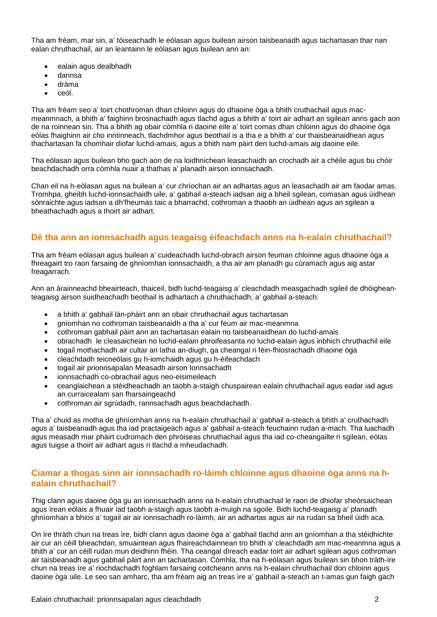Tha am frèam, mar sin, a' tòiseachadh le eòlasan agus builean airson taisbeanadh agus tachartasan thar nan ealan chruthachail, air an leantainn le eòlasan agus builean ann an:

- ealain agus dealbhadh
- dannsa
- dràma
- ceòl.

Tha am frèam seo a' toirt chothroman dhan chloinn agus do dhaoine òga a bhith cruthachail agus macmeanmnach, a bhith a' faighinn brosnachadh agus tlachd agus a bhith a' toirt air adhart an sgilean anns gach aon de na roinnean sin. Tha a bhith ag obair còmhla ri daoine eile a' toirt comas dhan chloinn agus do dhaoine òga eòlas fhaighinn air cho inntinneach, tlachdmhor agus beothail is a tha e a bhith a' cur thaisbeanaidhean agus thachartasan fa chomhair diofar luchd-amais, agus a bhith nam pàirt den luchd-amais aig daoine eile.

Tha eòlasan agus builean bho gach aon de na loidhnichean leasachaidh an crochadh air a chèile agus bu chòir beachdachadh orra còmhla nuair a thathas a' planadh airson ionnsachadh.

Chan eil na h-eòlasan agus na builean a' cur chrìochan air an adhartas agus an leasachadh air am faodar amas. Tromhpa, gheibh luchd-ionnsachaidh uile, a' gabhail a-steach iadsan aig a bheil sgilean, comasan agus ùidhean sònraichte agus iadsan a dh'fheumas taic a bharrachd, cothroman a thaobh an ùidhean agus an sgilean a bheathachadh agus a thoirt air adhart.

# **Dè tha ann an ionnsachadh agus teagaisg èifeachdach anns na h-ealain chruthachail?**

Tha am frèam eòlasan agus builean a' cuideachadh luchd-obrach airson feuman chloinne agus dhaoine òga a fhreagairt tro raon farsaing de ghnìomhan ionnsachaidh, a tha air am planadh gu cùramach agus aig astar freagarrach.

Ann an àrainneachd bheairteach, thaiceil, bidh luchd-teagaisg a' cleachdadh measgachadh sgileil de dhòigheanteagaisg airson suidheachadh beothail is adhartach a chruthachadh, a' gabhail a-steach:

- a bhith a' gabhail làn-phàirt ann an obair chruthachail agus tachartasan
- gnìomhan no cothroman taisbeanaidh a tha a' cur feum air mac-meanmna
- cothroman gabhail pàirt ann an tachartasan ealain no taisbeanaidhean do luchd-amais
- obrachadh le cleasaichean no luchd-ealain phroifeasanta no luchd-ealain agus inbhich chruthachil eile
- togail mothachadh air cultar an latha an-diugh, ga cheangal ri fèin-fhiosrachadh dhaoine òga
- cleachdadh teicneòlais gu h-iomchaidh agus gu h-èifeachdach
- togail air prionnsapalan Measadh airson Ionnsachadh
- ionnsachadh co-obrachail agus neo-eisimeileach
- ceanglaichean a stèidheachadh an taobh a-staigh chuspairean ealain chruthachail agus eadar iad agus an curraicealam san fharsaingeachd
- cothroman air sgrùdadh, rannsachadh agus beachdachadh.

Tha a' chuid as motha de ghnìomhan anns na h-ealain chruthachail a' gabhail a-steach a bhith a' cruthachadh agus a' taisbeanadh agus tha iad practaigeach agus a' gabhail a-steach feuchainn rudan a-mach. Tha luachadh agus measadh mar phàirt cudromach den phròiseas chruthachail agus tha iad co-cheangailte ri sgilean, eòlas agus tuigse a thoirt air adhart agus ri tlachd a mheudachadh.

#### **Ciamar a thogas sinn air ionnsachadh ro-làimh chloinne agus dhaoine òga anns na healain chruthachail?**

Thig clann agus daoine òga gu an ionnsachadh anns na h-ealain chruthachail le raon de dhiofar sheòrsaichean agus ìrean eòlais a fhuair iad taobh a-staigh agus taobh a-muigh na sgoile. Bidh luchd-teagaisg a' planadh ghnìomhan a bhios a' togail air air ionnsachadh ro-làimh, air an adhartas agus air na rudan sa bheil ùidh aca.

On ìre thràth chun na treas ìre, bidh clann agus daoine òga a' gabhail tlachd ann an gnìomhan a tha stèidhichte air cur an cèill bheachdan, smuaintean agus fhaireachdainnean tro bhith a' cleachdadh am mac-meanmna agus a bhith a' cur an cèill rudan mun deidhinn fhèin. Tha ceangal dìreach eadar toirt air adhart sgilean agus cothroman air taisbeanadh agus gabhail pàirt ann an tachartasan. Còmhla, tha na h-eòlasan agus builean sin bhon tràth-ìre chun na treas ìre a' riochdachadh foghlam farsaing coitcheann anns na h-ealain chruthachail don chloinn agus daoine òga uile. Le seo san amharc, tha am frèam aig an treas ìre a' gabhail a-steach an t-amas gun faigh gach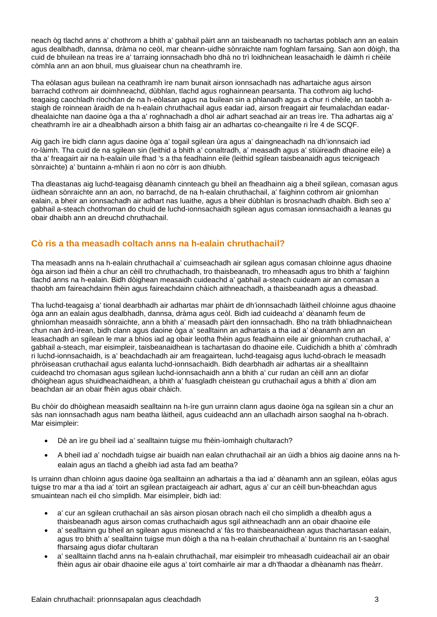neach òg tlachd anns a' chothrom a bhith a' gabhail pàirt ann an taisbeanadh no tachartas poblach ann an ealain agus dealbhadh, dannsa, dràma no ceòl, mar cheann-uidhe sònraichte nam foghlam farsaing. San aon dòigh, tha cuid de bhuilean na treas ìre a' tarraing ionnsachadh bho dhà no trì loidhnichean leasachaidh le dàimh ri chèile còmhla ann an aon bhuil, mus gluaisear chun na cheathramh ìre.

Tha eòlasan agus builean na ceathramh ìre nam bunait airson ionnsachadh nas adhartaiche agus airson barrachd cothrom air doimhneachd, dùbhlan, tlachd agus roghainnean pearsanta. Tha cothrom aig luchdteagaisg caochladh riochdan de na h-eòlasan agus na builean sin a phlanadh agus a chur ri chèile, an taobh astaigh de roinnean àraidh de na h-ealain chruthachail agus eadar iad, airson freagairt air feumalachdan eadardhealaichte nan daoine òga a tha a' roghnachadh a dhol air adhart seachad air an treas ìre. Tha adhartas aig a' cheathramh ìre air a dhealbhadh airson a bhith faisg air an adhartas co-cheangailte ri Ìre 4 de SCQF.

Aig gach ìre bidh clann agus daoine òga a' togail sgilean ùra agus a' daingneachadh na dh'ionnsaich iad ro-làimh. Tha cuid de na sgilean sin (leithid a bhith a' conaltradh, a' measadh agus a' stiùireadh dhaoine eile) a tha a' freagairt air na h-ealain uile fhad 's a tha feadhainn eile (leithid sgilean taisbeanaidh agus teicnigeach sònraichte) a' buntainn a-mhàin ri aon no còrr is aon dhiubh.

Tha dleastanas aig luchd-teagaisg dèanamh cinnteach gu bheil an fheadhainn aig a bheil sgilean, comasan agus ùidhean sònraichte ann an aon, no barrachd, de na h-ealain chruthachail, a' faighinn cothrom air gnìomhan ealain, a bheir an ionnsachadh air adhart nas luaithe, agus a bheir dùbhlan is brosnachadh dhaibh. Bidh seo a' gabhail a-steach chothroman do chuid de luchd-ionnsachaidh sgilean agus comasan ionnsachaidh a leanas gu obair dhaibh ann an dreuchd chruthachail.

## **Cò ris a tha measadh coltach anns na h-ealain chruthachail?**

Tha measadh anns na h-ealain chruthachail a' cuimseachadh air sgilean agus comasan chloinne agus dhaoine òga airson iad fhèin a chur an cèill tro chruthachadh, tro thaisbeanadh, tro mheasadh agus tro bhith a' faighinn tlachd anns na h-ealain. Bidh dòighean measaidh cuideachd a' gabhail a-steach cuideam air an comasan a thaobh am faireachdainn fhèin agus faireachdainn chàich aithneachadh, a thaisbeanadh agus a dheasbad.

Tha luchd-teagaisg a' tional dearbhadh air adhartas mar phàirt de dh'ionnsachadh làitheil chloinne agus dhaoine òga ann an ealain agus dealbhadh, dannsa, dràma agus ceòl. Bidh iad cuideachd a' dèanamh feum de ghnìomhan measaidh sònraichte, ann a bhith a' measadh pàirt den ionnsachadh. Bho na tràth bhliadhnaichean chun nan àrd-ìrean, bidh clann agus daoine òga a' sealltainn an adhartais a tha iad a' dèanamh ann an leasachadh an sgilean le mar a bhios iad ag obair leotha fhèin agus feadhainn eile air gnìomhan cruthachail, a' gabhail a-steach, mar eisimpleir, taisbeanaidhean is tachartasan do dhaoine eile. Cuidichidh a bhith a' còmhradh ri luchd-ionnsachaidh, is a' beachdachadh air am freagairtean, luchd-teagaisg agus luchd-obrach le measadh phròiseasan cruthachail agus ealanta luchd-ionnsachaidh. Bidh dearbhadh air adhartas air a shealltainn cuideachd tro chomasan agus sgilean luchd-ionnsachaidh ann a bhith a' cur rudan an cèill ann an diofar dhòighean agus shuidheachaidhean, a bhith a' fuasgladh cheistean gu cruthachail agus a bhith a' dìon am beachdan air an obair fhèin agus obair chàich.

Bu chòir do dhòighean measaidh sealltainn na h-ìre gun urrainn clann agus daoine òga na sgilean sin a chur an sàs nan ionnsachadh agus nam beatha làitheil, agus cuideachd ann an ullachadh airson saoghal na h-obrach. Mar eisimpleir:

- Dè an ìre gu bheil iad a' sealltainn tuigse mu fhèin-ìomhaigh chultarach?
- A bheil iad a' nochdadh tuigse air buaidh nan ealan chruthachail air an ùidh a bhios aig daoine anns na healain agus an tlachd a gheibh iad asta fad am beatha?

Is urrainn dhan chloinn agus daoine òga sealltainn an adhartais a tha iad a' dèanamh ann an sgilean, eòlas agus tuigse tro mar a tha iad a' toirt an sgilean practaigeach air adhart, agus a' cur an cèill bun-bheachdan agus smuaintean nach eil cho sìmplidh. Mar eisimpleir, bidh iad:

- a' cur an sgilean cruthachail an sàs airson pìosan obrach nach eil cho sìmplidh a dhealbh agus a thaisbeanadh agus airson comas cruthachaidh agus sgil aithneachadh ann an obair dhaoine eile
- a' sealltainn gu bheil an sgilean agus misneachd a' fàs tro thaisbeanaidhean agus thachartasan ealain, agus tro bhith a' sealltainn tuigse mun dòigh a tha na h-ealain chruthachail a' buntainn ris an t-saoghal fharsaing agus diofar chultaran
- a' sealltainn tlachd anns na h-ealain chruthachail, mar eisimpleir tro mheasadh cuideachail air an obair fhèin agus air obair dhaoine eile agus a' toirt comhairle air mar a dh'fhaodar a dhèanamh nas fheàrr.